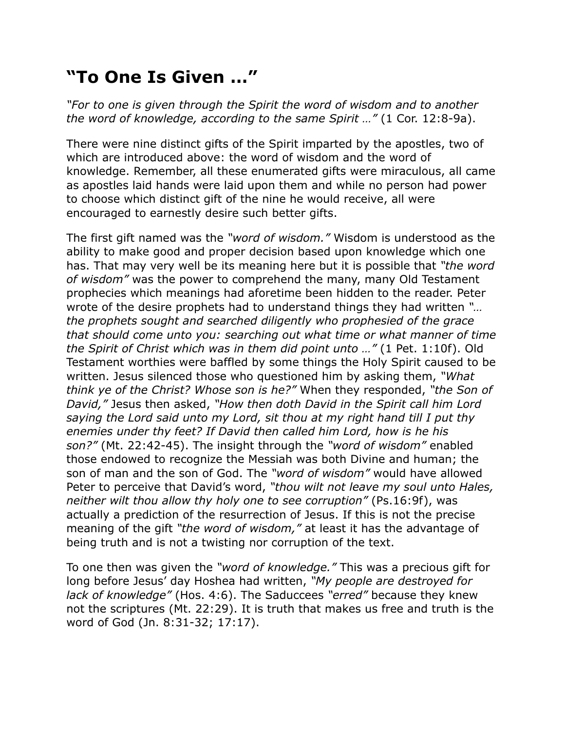## **"To One Is Given …"**

*"For to one is given through the Spirit the word of wisdom and to another the word of knowledge, according to the same Spirit …"* (1 Cor. 12:8-9a).

There were nine distinct gifts of the Spirit imparted by the apostles, two of which are introduced above: the word of wisdom and the word of knowledge. Remember, all these enumerated gifts were miraculous, all came as apostles laid hands were laid upon them and while no person had power to choose which distinct gift of the nine he would receive, all were encouraged to earnestly desire such better gifts.

The first gift named was the *"word of wisdom."* Wisdom is understood as the ability to make good and proper decision based upon knowledge which one has. That may very well be its meaning here but it is possible that *"the word of wisdom"* was the power to comprehend the many, many Old Testament prophecies which meanings had aforetime been hidden to the reader. Peter wrote of the desire prophets had to understand things they had written *"… the prophets sought and searched diligently who prophesied of the grace that should come unto you: searching out what time or what manner of time the Spirit of Christ which was in them did point unto …"* (1 Pet. 1:10f). Old Testament worthies were baffled by some things the Holy Spirit caused to be written. Jesus silenced those who questioned him by asking them, *"What think ye of the Christ? Whose son is he?"* When they responded, *"the Son of David,"* Jesus then asked, *"How then doth David in the Spirit call him Lord saying the Lord said unto my Lord, sit thou at my right hand till I put thy enemies under thy feet? If David then called him Lord, how is he his son?"* (Mt. 22:42-45). The insight through the *"word of wisdom"* enabled those endowed to recognize the Messiah was both Divine and human; the son of man and the son of God. The *"word of wisdom"* would have allowed Peter to perceive that David's word, *"thou wilt not leave my soul unto Hales, neither wilt thou allow thy holy one to see corruption"* (Ps.16:9f), was actually a prediction of the resurrection of Jesus. If this is not the precise meaning of the gift *"the word of wisdom,"* at least it has the advantage of being truth and is not a twisting nor corruption of the text.

To one then was given the *"word of knowledge."* This was a precious gift for long before Jesus' day Hoshea had written, *"My people are destroyed for lack of knowledge"* (Hos. 4:6). The Saduccees *"erred"* because they knew not the scriptures (Mt. 22:29). It is truth that makes us free and truth is the word of God (Jn. 8:31-32; 17:17).